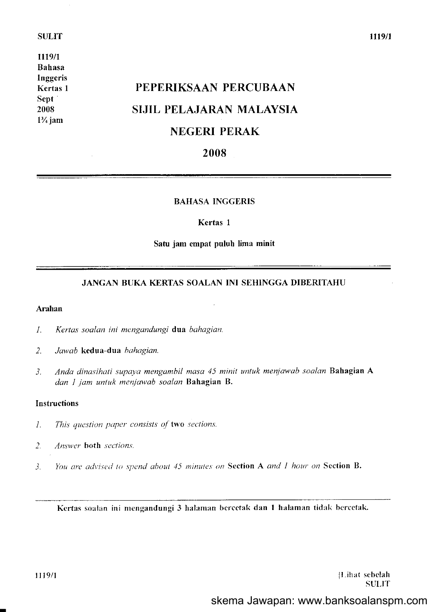#### **SULIT**

lll9/l Bahasa Inggeris Kertas I Sept 2008  $1\frac{3}{4}$  jam

# PEPERIKSAAN PERCUBAAN SIJIL PELAJARAN MALAYSIA NEGERI PERAK

# 2008

#### BAHASA INGGERIS

#### Kertas I

#### Satu jam empat puluh lima minit

## JANGAN BUKA KERTAS SOALAN INI SEHINGGA DIBERITAHU

#### Arahan

- l. Kertas soalon ini mangandungi dua bahagian.
- 2. Jawab kedua-dua bahagian.
- 3. Anda dinasihati supaya mengambil masa 45 minit untuk menjawab soalan Bahagian A dan 1 jam untuk menjawab soalan Bahagian B.

#### Instructions

- 1. This question paper consists of two sections.
- 2. Answer both sections.
- 3. You are advised to spend about 45 minutes on Section A and I hour on Section B.

Kertas soalan ini mengandungi 3 halaman bercetak dan 1 halaman tidak bercetak.

ll.ihat scbelah **SULIT** 

1119/1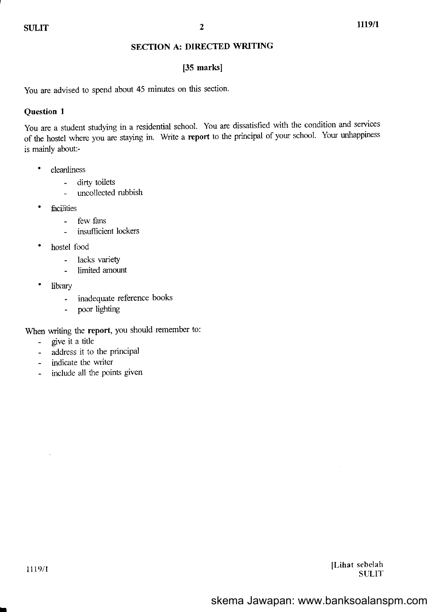## SECTION A: DIRECTED WRITING

## [35 marks]

You are advised to spend about 45 minutes on this section.

## Question I

You are a student studying in a residential school. You are dissatisfied with the condition and sewices of the hostel where you are staying in. Write a report to the principal of your school. Your unhappiness is mainly about:-

- ' cleanliness
	- dirty toilets
	- urcollected rubbish
- ' ficilities
	- few fans
	- insufficient lockers
- hostel food
	- lacks variety
	- limited amount
- library
	- inadequate reference books
	- poor lighting

When writing the report, you should remember to:

- give it a title
- address it to the principal
- indicate the writer
- include all the points given

[Lihat sebelah **SULIT** 

I